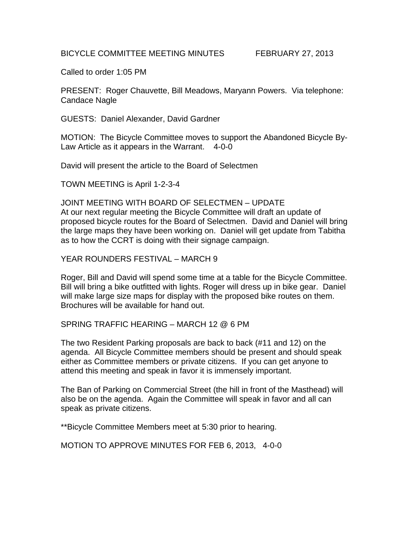## BICYCLE COMMITTEE MEETING MINUTES FEBRUARY 27, 2013

Called to order 1:05 PM

PRESENT: Roger Chauvette, Bill Meadows, Maryann Powers. Via telephone: Candace Nagle

GUESTS: Daniel Alexander, David Gardner

MOTION: The Bicycle Committee moves to support the Abandoned Bicycle By-Law Article as it appears in the Warrant. 4-0-0

David will present the article to the Board of Selectmen

TOWN MEETING is April 1-2-3-4

JOINT MEETING WITH BOARD OF SELECTMEN – UPDATE At our next regular meeting the Bicycle Committee will draft an update of proposed bicycle routes for the Board of Selectmen. David and Daniel will bring the large maps they have been working on. Daniel will get update from Tabitha as to how the CCRT is doing with their signage campaign.

YEAR ROUNDERS FESTIVAL – MARCH 9

Roger, Bill and David will spend some time at a table for the Bicycle Committee. Bill will bring a bike outfitted with lights. Roger will dress up in bike gear. Daniel will make large size maps for display with the proposed bike routes on them. Brochures will be available for hand out.

SPRING TRAFFIC HEARING – MARCH 12 @ 6 PM

The two Resident Parking proposals are back to back (#11 and 12) on the agenda. All Bicycle Committee members should be present and should speak either as Committee members or private citizens. If you can get anyone to attend this meeting and speak in favor it is immensely important.

The Ban of Parking on Commercial Street (the hill in front of the Masthead) will also be on the agenda. Again the Committee will speak in favor and all can speak as private citizens.

\*\*Bicycle Committee Members meet at 5:30 prior to hearing.

MOTION TO APPROVE MINUTES FOR FEB 6, 2013, 4-0-0